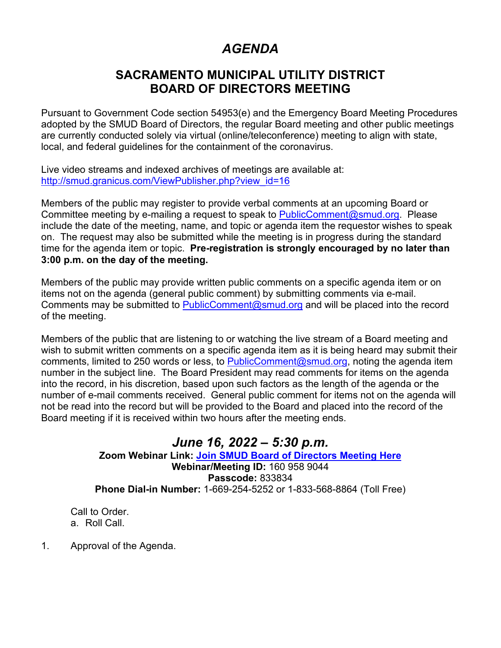# *AGENDA*

## **SACRAMENTO MUNICIPAL UTILITY DISTRICT BOARD OF DIRECTORS MEETING**

Pursuant to Government Code section 54953(e) and the Emergency Board Meeting Procedures adopted by the SMUD Board of Directors, the regular Board meeting and other public meetings are currently conducted solely via virtual (online/teleconference) meeting to align with state, local, and federal guidelines for the containment of the coronavirus.

Live video streams and indexed archives of meetings are available at: [http://smud.granicus.com/ViewPublisher.php?view\\_id=16](http://smud.granicus.com/ViewPublisher.php?view_id=16)

Members of the public may register to provide verbal comments at an upcoming Board or Committee meeting by e-mailing a request to speak to [PublicComment@smud.org.](mailto:PublicComment@smud.org) Please include the date of the meeting, name, and topic or agenda item the requestor wishes to speak on. The request may also be submitted while the meeting is in progress during the standard time for the agenda item or topic. **Pre-registration is strongly encouraged by no later than 3:00 p.m. on the day of the meeting.**

Members of the public may provide written public comments on a specific agenda item or on items not on the agenda (general public comment) by submitting comments via e-mail. Comments may be submitted to [PublicComment@smud.org](mailto:PublicComment@smud.org) and will be placed into the record of the meeting.

Members of the public that are listening to or watching the live stream of a Board meeting and wish to submit written comments on a specific agenda item as it is being heard may submit their comments, limited to 250 words or less, to [PublicComment@smud.org,](mailto:PublicComment@smud.org) noting the agenda item number in the subject line. The Board President may read comments for items on the agenda into the record, in his discretion, based upon such factors as the length of the agenda or the number of e-mail comments received. General public comment for items not on the agenda will not be read into the record but will be provided to the Board and placed into the record of the Board meeting if it is received within two hours after the meeting ends.

### *June 16, 2022 – 5:30 p.m.* **Zoom Webinar Link: [Join SMUD Board of Directors Meeting Here](https://smud.zoomgov.com/j/1609589044?pwd=Z1E4VlB5VUNwQTRYRXJjRTdDQmNQdz09) Webinar/Meeting ID:** 160 958 9044 **Passcode:** 833834 **Phone Dial-in Number:** 1-669-254-5252 or 1-833-568-8864 (Toll Free)

Call to Order. a. Roll Call.

1. Approval of the Agenda.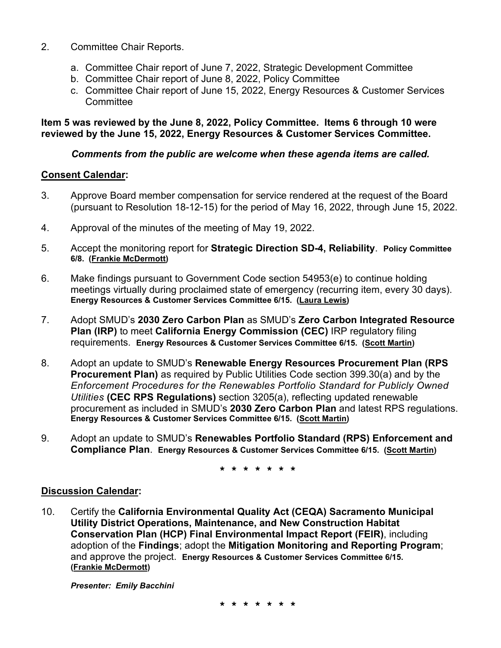- 2. Committee Chair Reports.
	- a. Committee Chair report of June 7, 2022, Strategic Development Committee
	- b. Committee Chair report of June 8, 2022, Policy Committee
	- c. Committee Chair report of June 15, 2022, Energy Resources & Customer Services **Committee**

#### **Item 5 was reviewed by the June 8, 2022, Policy Committee. Items 6 through 10 were reviewed by the June 15, 2022, Energy Resources & Customer Services Committee.**

#### *Comments from the public are welcome when these agenda items are called.*

#### **Consent Calendar:**

- 3. Approve Board member compensation for service rendered at the request of the Board (pursuant to Resolution 18-12-15) for the period of May 16, 2022, through June 15, 2022.
- 4. Approval of the minutes of the meeting of May 19, 2022.
- 5. Accept the monitoring report for **Strategic Direction SD-4, Reliability**. **Policy Committee 6/8. (Frankie McDermott)**
- 6. Make findings pursuant to Government Code section 54953(e) to continue holding meetings virtually during proclaimed state of emergency (recurring item, every 30 days). **Energy Resources & Customer Services Committee 6/15. (Laura Lewis)**
- 7. Adopt SMUD's **2030 Zero Carbon Plan** as SMUD's **Zero Carbon Integrated Resource Plan (IRP)** to meet **California Energy Commission (CEC)** IRP regulatory filing requirements. **Energy Resources & Customer Services Committee 6/15. (Scott Martin)**
- 8. Adopt an update to SMUD's **Renewable Energy Resources Procurement Plan (RPS Procurement Plan)** as required by Public Utilities Code section 399.30(a) and by the *Enforcement Procedures for the Renewables Portfolio Standard for Publicly Owned Utilities* **(CEC RPS Regulations)** section 3205(a), reflecting updated renewable procurement as included in SMUD's **2030 Zero Carbon Plan** and latest RPS regulations. **Energy Resources & Customer Services Committee 6/15. (Scott Martin)**
- 9. Adopt an update to SMUD's **Renewables Portfolio Standard (RPS) Enforcement and Compliance Plan**. **Energy Resources & Customer Services Committee 6/15. (Scott Martin)**

**\* \* \* \* \* \* \***

#### **Discussion Calendar:**

10. Certify the **California Environmental Quality Act (CEQA) Sacramento Municipal Utility District Operations, Maintenance, and New Construction Habitat Conservation Plan (HCP) Final Environmental Impact Report (FEIR)**, including adoption of the **Findings**; adopt the **Mitigation Monitoring and Reporting Program**; and approve the project. **Energy Resources & Customer Services Committee 6/15. (Frankie McDermott)**

*Presenter: Emily Bacchini*

**\* \* \* \* \* \* \***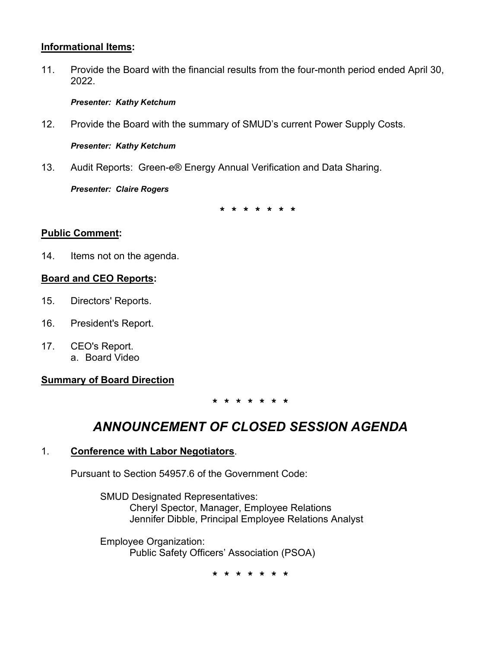#### **Informational Items:**

11. Provide the Board with the financial results from the four-month period ended April 30, 2022.

#### *Presenter: Kathy Ketchum*

12. Provide the Board with the summary of SMUD's current Power Supply Costs.

*Presenter: Kathy Ketchum*

13. Audit Reports: Green-e® Energy Annual Verification and Data Sharing.

*Presenter: Claire Rogers*

**\* \* \* \* \* \* \***

#### **Public Comment:**

14. Items not on the agenda.

#### **Board and CEO Reports:**

- 15. Directors' Reports.
- 16. President's Report.
- 17. CEO's Report. a. Board Video

### **Summary of Board Direction**

**\* \* \* \* \* \* \***

## *ANNOUNCEMENT OF CLOSED SESSION AGENDA*

#### 1. **Conference with Labor Negotiators**.

Pursuant to Section 54957.6 of the Government Code:

SMUD Designated Representatives: Cheryl Spector, Manager, Employee Relations Jennifer Dibble, Principal Employee Relations Analyst

Employee Organization: Public Safety Officers' Association (PSOA)

**\* \* \* \* \* \* \***